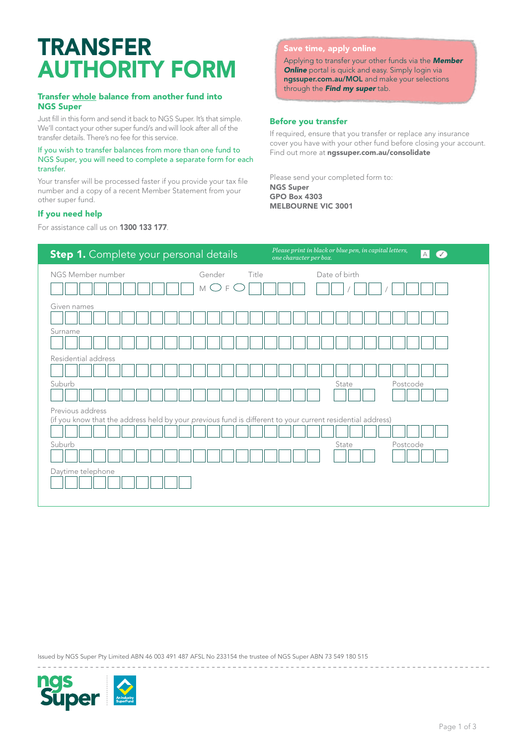# TRANSFER AUTHORITY FORM

#### Transfer whole balance from another fund into NGS Super

Just fill in this form and send it back to NGS Super. It's that simple. We'll contact your other super fund/s and will look after all of the transfer details. There's no fee for this service.

#### If you wish to transfer balances from more than one fund to NGS Super, you will need to complete a separate form for each transfer.

Your transfer will be processed faster if you provide your tax file number and a copy of a recent Member Statement from your other super fund.

## If you need help

For assistance call us on 1300 133 177.

## Save time, apply online

Applying to transfer your other funds via the *[Member](http://www.ngssuper.com.au/MOL)*  **[Online](http://www.ngssuper.com.au/MOL)** portal is quick and easy. Simply login via [ngssuper.com.au/M](http://www.ngssuper.com.au/mol)OL and make your selections through the *Find my super* tab.

## Before you transfer

If required, ensure that you transfer or replace any insurance cover you have with your other fund before closing your account. Find out more at [ngssuper.com.au/consolidate](https://www.ngssuper.com.au/super/manage-my-super/consolidate-super)

Please send your completed form to: NGS Super GPO Box 4303 MELBOURNE VIC 3001

| Step 1. Complete your personal details                                                                                         |            | Please print in black or blue pen, in capital letters,<br> A <br>$\overline{\mathcal{C}}$<br>one character per box. |          |
|--------------------------------------------------------------------------------------------------------------------------------|------------|---------------------------------------------------------------------------------------------------------------------|----------|
| NGS Member number<br>Gender<br>( )<br>$\mathbb M$                                                                              | Title<br>F | Date of birth                                                                                                       |          |
| Given names<br>Surname                                                                                                         |            |                                                                                                                     |          |
| Residential address                                                                                                            |            |                                                                                                                     |          |
| Suburb                                                                                                                         |            | State                                                                                                               | Postcode |
|                                                                                                                                |            |                                                                                                                     |          |
| Previous address<br>(if you know that the address held by your previous fund is different to your current residential address) |            |                                                                                                                     |          |
| Suburb                                                                                                                         |            | State                                                                                                               | Postcode |
| Daytime telephone                                                                                                              |            |                                                                                                                     |          |

Issued by NGS Super Pty Limited ABN 46 003 491 487 AFSL No 233154 the trustee of NGS Super ABN 73 549 180 515

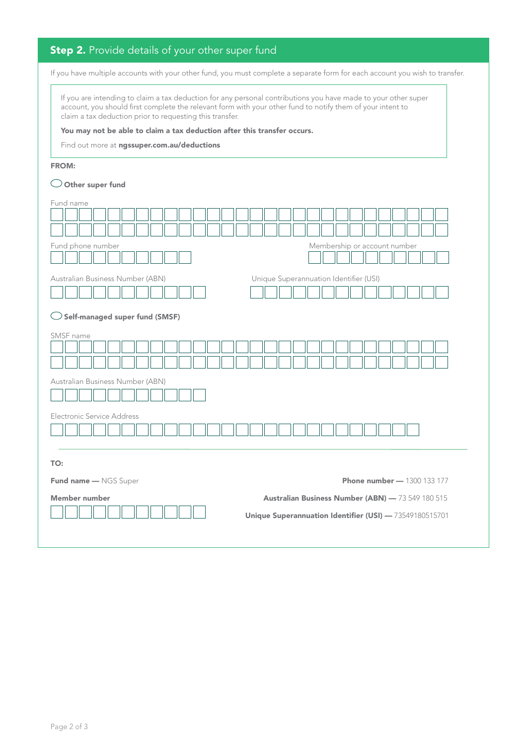# **Step 2.** Provide details of your other super fund

If you have multiple accounts with your other fund, you must complete a separate form for each account you wish to transfer.

If you are intending to claim a tax deduction for any personal contributions you have made to your other super account, you should first complete the relevant form with your other fund to notify them of your intent to claim a tax deduction prior to requesting this transfer.

You may not be able to claim a tax deduction after this transfer occurs.

Find out more at [ngssuper.com.au/deductions](https://www.ngssuper.com.au/super/grow-my-super/claim-a-tax-deduction)

#### FROM:

#### $\bigcirc$  Other super fund

| Fund name                                                                  |  |  |  |
|----------------------------------------------------------------------------|--|--|--|
|                                                                            |  |  |  |
| Fund phone number<br>Membership or account number                          |  |  |  |
|                                                                            |  |  |  |
| Unique Superannuation Identifier (USI)<br>Australian Business Number (ABN) |  |  |  |
|                                                                            |  |  |  |
| <b>Self-managed super fund (SMSF)</b><br>$\cup$                            |  |  |  |
| SMSF name                                                                  |  |  |  |
| Australian Business Number (ABN)                                           |  |  |  |
| Electronic Service Address                                                 |  |  |  |
|                                                                            |  |  |  |
|                                                                            |  |  |  |
| TO:                                                                        |  |  |  |
| <b>Phone number - 1300 133 177</b><br>Fund name - NGS Super                |  |  |  |
| Member number<br>Australian Business Number (ABN) - 73 549 180 515         |  |  |  |
| Unique Superannuation Identifier (USI) - 73549180515701                    |  |  |  |